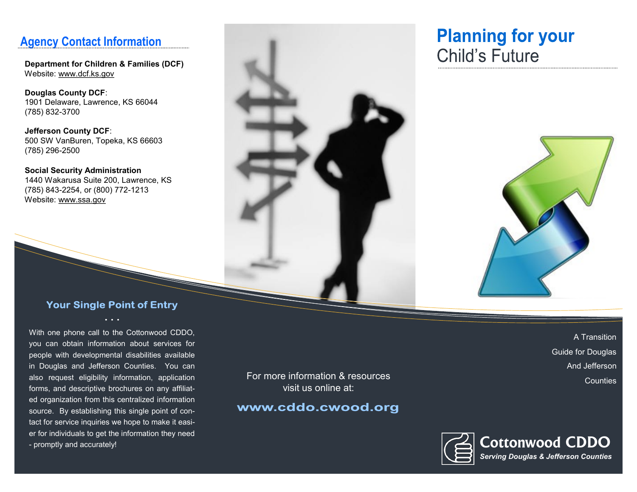### **Agency Contact Information**

 **Department for Children & Families (DCF)** Website: www.dcf.ks.gov

 **Douglas County DCF**: 1901 Delaware, Lawrence, KS 66044 (785) 832-3700

 **Jefferson County DCF**: 500 SW VanBuren, Topeka, KS 66603 (785) 296-2500

 **Social Security Administration** 1440 Wakarusa Suite 200, Lawrence, KS (785) 843-2254, or (800) 772-1213 Website: www.ssa.gov



# **Planning for your Child's Future**



#### **Your Single Point of Entry**

With one phone call to the Cottonwood CDDO, you can obtain information about services for people with developmental disabilities available in Douglas and Jefferson Counties. You can also request eligibility information, application forms, and descriptive brochures on any affiliated organization from this centralized information source. By establishing this single point of contact for service inquiries we hope to make it easier for individuals to get the information they need - promptly and accurately!

For more information & resources visit us online at:

#### www.cddo.cwood.org

A Transition Guide for Douglas And Jefferson **Counties** 

**Cottonwood CDDO** *Serving Douglas & Jefferson Counties*